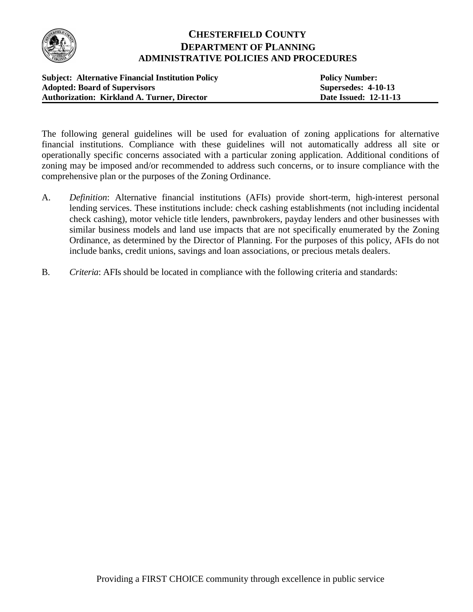

## **CHESTERFIELD COUNTY DEPARTMENT OF PLANNING ADMINISTRATIVE POLICIES AND PROCEDURES**

| <b>Subject: Alternative Financial Institution Policy</b> | <b>Policy Number:</b>        |
|----------------------------------------------------------|------------------------------|
| <b>Adopted: Board of Supervisors</b>                     | Supersedes: 4-10-13          |
| <b>Authorization: Kirkland A. Turner, Director</b>       | <b>Date Issued: 12-11-13</b> |

The following general guidelines will be used for evaluation of zoning applications for alternative financial institutions. Compliance with these guidelines will not automatically address all site or operationally specific concerns associated with a particular zoning application. Additional conditions of zoning may be imposed and/or recommended to address such concerns, or to insure compliance with the comprehensive plan or the purposes of the Zoning Ordinance.

- A. *Definition*: Alternative financial institutions (AFIs) provide short-term, high-interest personal lending services. These institutions include: check cashing establishments (not including incidental check cashing), motor vehicle title lenders, pawnbrokers, payday lenders and other businesses with similar business models and land use impacts that are not specifically enumerated by the Zoning Ordinance, as determined by the Director of Planning. For the purposes of this policy, AFIs do not include banks, credit unions, savings and loan associations, or precious metals dealers.
- B. *Criteria*: AFIs should be located in compliance with the following criteria and standards: